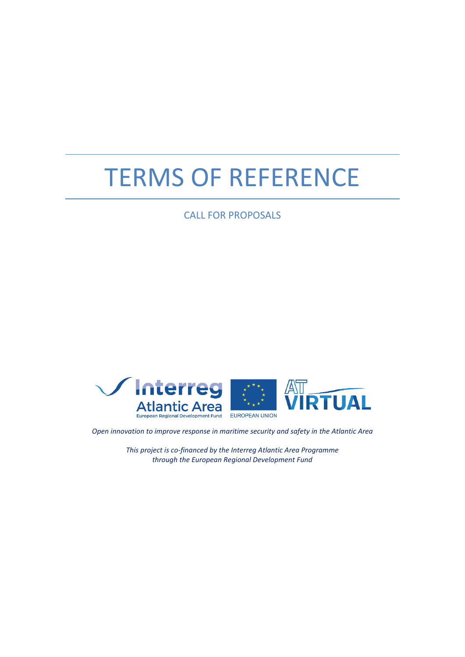# TERMS OF REFERENCE

CALL FOR PROPOSALS



*Open innovation to improve response in maritime security and safety in the Atlantic Area*

*This project is co-financed by the Interreg Atlantic Area Programme through the European Regional Development Fund*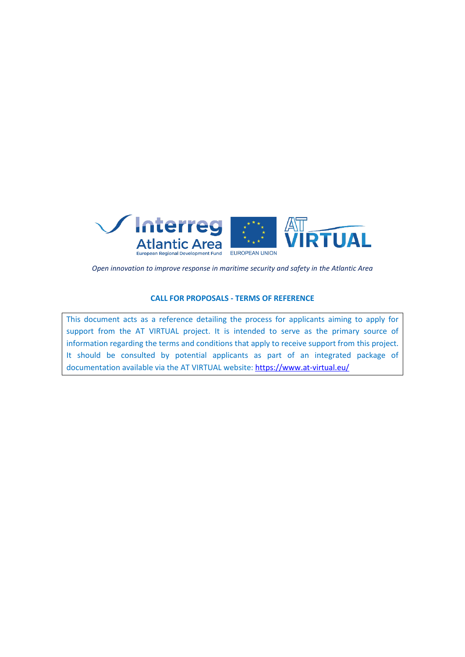

*Open innovation to improve response in maritime security and safety in the Atlantic Area*

#### **CALL FOR PROPOSALS - TERMS OF REFERENCE**

This document acts as a reference detailing the process for applicants aiming to apply for support from the AT VIRTUAL project. It is intended to serve as the primary source of information regarding the terms and conditions that apply to receive support from this project. It should be consulted by potential applicants as part of an integrated package of documentation available via the AT VIRTUAL website: <https://www.at-virtual.eu/>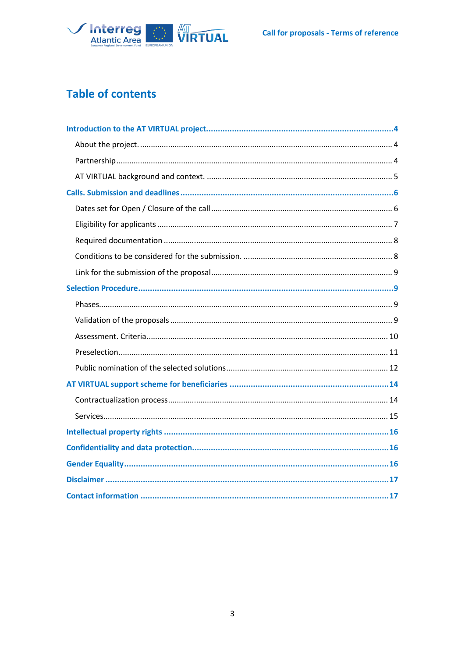

# **Table of contents**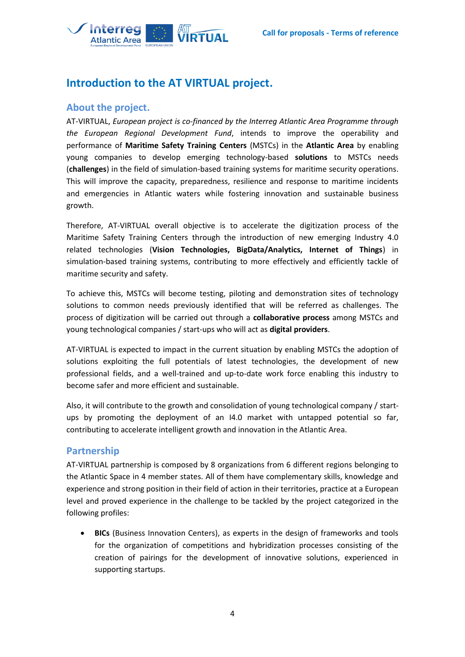

# <span id="page-3-0"></span>**Introduction to the AT VIRTUAL project.**

## <span id="page-3-1"></span>**About the project.**

AT-VIRTUAL, *European project is co-financed by the Interreg Atlantic Area Programme through the European Regional Development Fund*, intends to improve the operability and performance of **Maritime Safety Training Centers** (MSTCs) in the **Atlantic Area** by enabling young companies to develop emerging technology-based **solutions** to MSTCs needs (**challenges**) in the field of simulation-based training systems for maritime security operations. This will improve the capacity, preparedness, resilience and response to maritime incidents and emergencies in Atlantic waters while fostering innovation and sustainable business growth.

Therefore, AT-VIRTUAL overall objective is to accelerate the digitization process of the Maritime Safety Training Centers through the introduction of new emerging Industry 4.0 related technologies (**Vision Technologies, BigData/Analytics, Internet of Things**) in simulation-based training systems, contributing to more effectively and efficiently tackle of maritime security and safety.

To achieve this, MSTCs will become testing, piloting and demonstration sites of technology solutions to common needs previously identified that will be referred as challenges. The process of digitization will be carried out through a **collaborative process** among MSTCs and young technological companies / start-ups who will act as **digital providers**.

AT-VIRTUAL is expected to impact in the current situation by enabling MSTCs the adoption of solutions exploiting the full potentials of latest technologies, the development of new professional fields, and a well-trained and up-to-date work force enabling this industry to become safer and more efficient and sustainable.

Also, it will contribute to the growth and consolidation of young technological company / startups by promoting the deployment of an I4.0 market with untapped potential so far, contributing to accelerate intelligent growth and innovation in the Atlantic Area.

#### <span id="page-3-2"></span>**Partnership**

AT-VIRTUAL partnership is composed by 8 organizations from 6 different regions belonging to the Atlantic Space in 4 member states. All of them have complementary skills, knowledge and experience and strong position in their field of action in their territories, practice at a European level and proved experience in the challenge to be tackled by the project categorized in the following profiles:

• **BICs** (Business Innovation Centers), as experts in the design of frameworks and tools for the organization of competitions and hybridization processes consisting of the creation of pairings for the development of innovative solutions, experienced in supporting startups.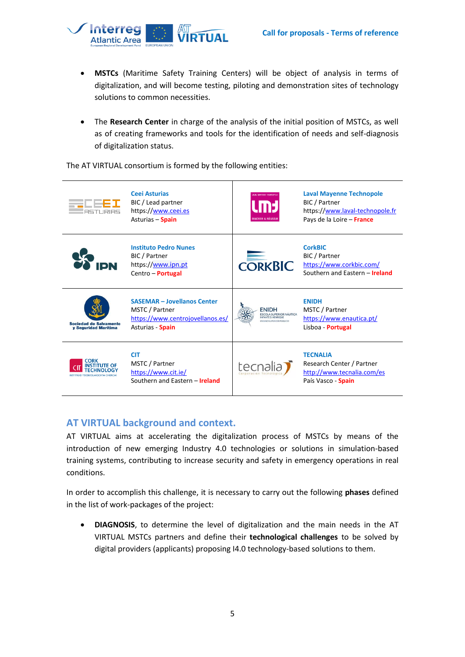

- **MSTCs** (Maritime Safety Training Centers) will be object of analysis in terms of digitalization, and will become testing, piloting and demonstration sites of technology solutions to common necessities.
- The **Research Center** in charge of the analysis of the initial position of MSTCs, as well as of creating frameworks and tools for the identification of needs and self-diagnosis of digitalization status.

The AT VIRTUAL consortium is formed by the following entities:



## <span id="page-4-0"></span>**AT VIRTUAL background and context.**

AT VIRTUAL aims at accelerating the digitalization process of MSTCs by means of the introduction of new emerging Industry 4.0 technologies or solutions in simulation-based training systems, contributing to increase security and safety in emergency operations in real conditions.

In order to accomplish this challenge, it is necessary to carry out the following **phases** defined in the list of work-packages of the project:

• **DIAGNOSIS**, to determine the level of digitalization and the main needs in the AT VIRTUAL MSTCs partners and define their **technological challenges** to be solved by digital providers (applicants) proposing I4.0 technology-based solutions to them.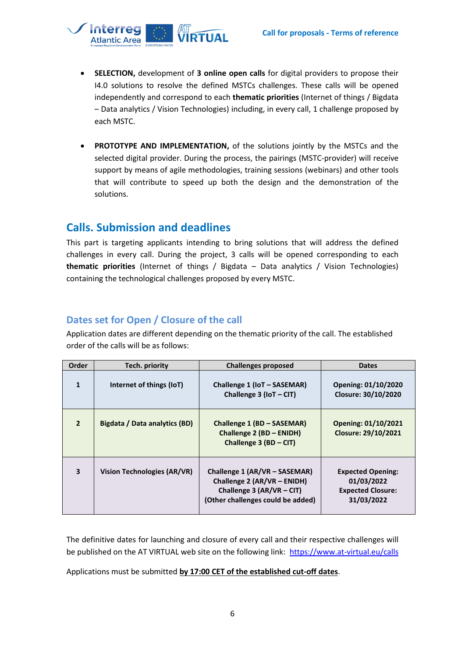

- **SELECTION,** development of **3 online open calls** for digital providers to propose their I4.0 solutions to resolve the defined MSTCs challenges. These calls will be opened independently and correspond to each **thematic priorities** (Internet of things / Bigdata – Data analytics / Vision Technologies) including, in every call, 1 challenge proposed by each MSTC.
- **PROTOTYPE AND IMPLEMENTATION,** of the solutions jointly by the MSTCs and the selected digital provider. During the process, the pairings (MSTC-provider) will receive support by means of agile methodologies, training sessions (webinars) and other tools that will contribute to speed up both the design and the demonstration of the solutions.

# <span id="page-5-0"></span>**Calls. Submission and deadlines**

This part is targeting applicants intending to bring solutions that will address the defined challenges in every call. During the project, 3 calls will be opened corresponding to each **thematic priorities** (Internet of things / Bigdata – Data analytics / Vision Technologies) containing the technological challenges proposed by every MSTC.

## <span id="page-5-1"></span>**Dates set for Open / Closure of the call**

Application dates are different depending on the thematic priority of the call. The established order of the calls will be as follows:

| <b>Order</b>            | Tech. priority                | <b>Challenges proposed</b>                                                                                                       | <b>Dates</b>                                                                     |
|-------------------------|-------------------------------|----------------------------------------------------------------------------------------------------------------------------------|----------------------------------------------------------------------------------|
| $\mathbf{1}$            | Internet of things (IoT)      | Challenge 1 (IoT - SASEMAR)<br>Challenge $3$ (IoT – CIT)                                                                         | Opening: 01/10/2020<br>Closure: 30/10/2020                                       |
| $\overline{2}$          | Bigdata / Data analytics (BD) | Challenge 1 (BD - SASEMAR)<br>Challenge 2 (BD - ENIDH)<br>Challenge $3 (BD - CIT)$                                               | Opening: 01/10/2021<br>Closure: 29/10/2021                                       |
| $\overline{\mathbf{3}}$ | Vision Technologies (AR/VR)   | Challenge 1 (AR/VR – SASEMAR)<br>Challenge 2 (AR/VR - ENIDH)<br>Challenge 3 (AR/VR $-$ CIT)<br>(Other challenges could be added) | <b>Expected Opening:</b><br>01/03/2022<br><b>Expected Closure:</b><br>31/03/2022 |

The definitive dates for launching and closure of every call and their respective challenges will be published on the AT VIRTUAL web site on the following link:<https://www.at-virtual.eu/calls>

Applications must be submitted **by 17:00 CET of the established cut-off dates**.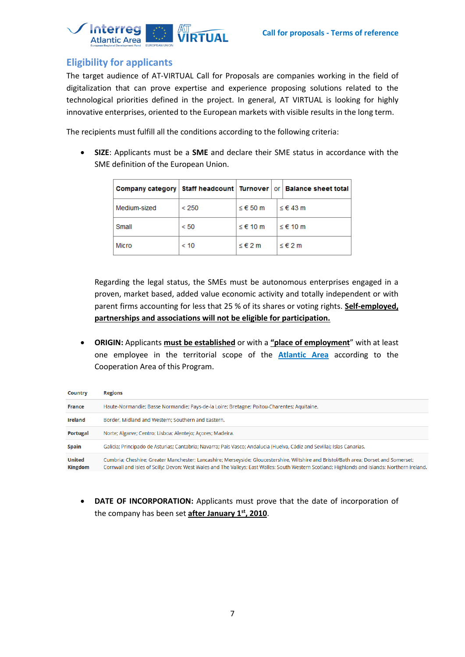

## <span id="page-6-0"></span>**Eligibility for applicants**

The target audience of AT-VIRTUAL Call for Proposals are companies working in the field of digitalization that can prove expertise and experience proposing solutions related to the technological priorities defined in the project. In general, AT VIRTUAL is looking for highly innovative enterprises, oriented to the European markets with visible results in the long term.

The recipients must fulfill all the conditions according to the following criteria:

• **SIZE**: Applicants must be a **SME** and declare their SME status in accordance with the SME definition of the European Union.

|              |       |          | Company category   Staff headcount   Turnover   or   Balance sheet total |
|--------------|-------|----------|--------------------------------------------------------------------------|
| Medium-sized | < 250 | ≤ € 50 m | ≤ € 43 m                                                                 |
| Small        | < 50  | ≤ € 10 m | ≤ € 10 m                                                                 |
| <b>Micro</b> | < 10  | ≤ € 2 m  | ≤ € 2 m                                                                  |

Regarding the legal status, the SMEs must be autonomous enterprises engaged in a proven, market based, added value economic activity and totally independent or with parent firms accounting for less that 25 % of its shares or voting rights. **Self-employed, partnerships and associations will not be eligible for participation.**

• **ORIGIN:** Applicants **must be established** or with a **"place of employment**" with at least one employee in the territorial scope of the **[Atlantic Area](https://www.atlanticarea.eu/page/3)** according to the Cooperation Area of this Program.

| Country                         | <b>Regions</b>                                                                                                                                                                                                                                                                          |
|---------------------------------|-----------------------------------------------------------------------------------------------------------------------------------------------------------------------------------------------------------------------------------------------------------------------------------------|
| France                          | Haute-Normandie; Basse Normandie; Pays-de-la Loire; Bretagne; Poitou-Charentes; Aquitaine.                                                                                                                                                                                              |
| Ireland                         | Border, Midland and Western; Southern and Eastern.                                                                                                                                                                                                                                      |
| Portugal                        | Norte; Algarve; Centro; Lisboa; Alentejo; Acores; Madeira.                                                                                                                                                                                                                              |
| Spain                           | Galicia; Principado de Asturias; Cantabria; Navarra; País Vasco; Andalucia (Huelva, Cádiz and Sevilla); Islas Canarias.                                                                                                                                                                 |
| <b>United</b><br><b>Kingdom</b> | Cumbria; Cheshire; Greater Manchester; Lancashire; Merseyside; Gloucestershire, Wiltshire and Bristol/Bath area; Dorset and Somerset;<br>Cornwall and Isles of Scilly: Devon: West Wales and The Valleys: Fast Walles: South Western Scotland: Highlands and Islands: Northern Ireland. |

• **DATE OF INCORPORATION:** Applicants must prove that the date of incorporation of the company has been set **after January 1st, 2010**.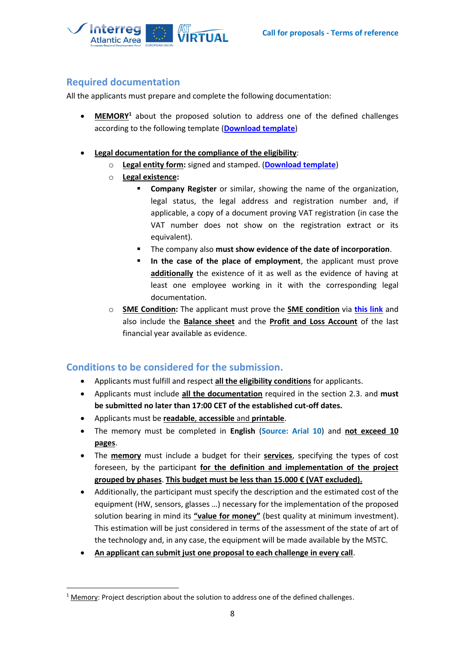

## <span id="page-7-0"></span>**Required documentation**

All the applicants must prepare and complete the following documentation:

- **MEMORY<sup>1</sup>** about the proposed solution to address one of the defined challenges according to the following template (**[Download template](https://www.at-virtual.eu/documents/at-virtual-project--memory-template.docx)**)
- **Legal documentation for the compliance of the eligibility**:
	- o **Legal entity form:** signed and stamped. (**[Download template](https://ec.europa.eu/info/sites/info/files/about_the_european_commission/eu_budget/legent_privcomp_en.pdf)**)
	- o **Legal existence:** 
		- **Company Register** or similar, showing the name of the organization, legal status, the legal address and registration number and, if applicable, a copy of a document proving VAT registration (in case the VAT number does not show on the registration extract or its equivalent).
		- The company also **must show evidence of the date of incorporation**.
		- In the case of the place of employment, the applicant must prove **additionally** the existence of it as well as the evidence of having at least one employee working in it with the corresponding legal documentation.
	- o **SME Condition:** The applicant must prove the **SME condition** via **[this link](https://ec.europa.eu/growth/tools-databases/SME-Wizard/smeq.do;SME_SESSION_ID=NjSrCJCUQuo8MwfT0fJYwY4Yy4wO0cHz5Jm5H8kSmEJ2kWB928cM!1862496024?execution=e1s1)** and also include the **Balance sheet** and the **Profit and Loss Account** of the last financial year available as evidence.

## <span id="page-7-1"></span>**Conditions to be considered for the submission.**

- Applicants must fulfill and respect **all the eligibility conditions** for applicants.
- Applicants must include **all the documentation** required in the section 2.3. and **must be submitted no later than 17:00 CET of the established cut-off dates.**
- Applicants must be **readable**, **accessible** and **printable**.
- The memory must be completed in **English** (**Source: Arial 10**) and **not exceed 10 pages**.
- The **memory** must include a budget for their **services**, specifying the types of cost foreseen, by the participant **for the definition and implementation of the project grouped by phases**. **This budget must be less than 15.000 € (VAT excluded).**
- Additionally, the participant must specify the description and the estimated cost of the equipment (HW, sensors, glasses …) necessary for the implementation of the proposed solution bearing in mind its **"value for money"** (best quality at minimum investment). This estimation will be just considered in terms of the assessment of the state of art of the technology and, in any case, the equipment will be made available by the MSTC.
- **An applicant can submit just one proposal to each challenge in every call**.

 $1$  Memory: Project description about the solution to address one of the defined challenges.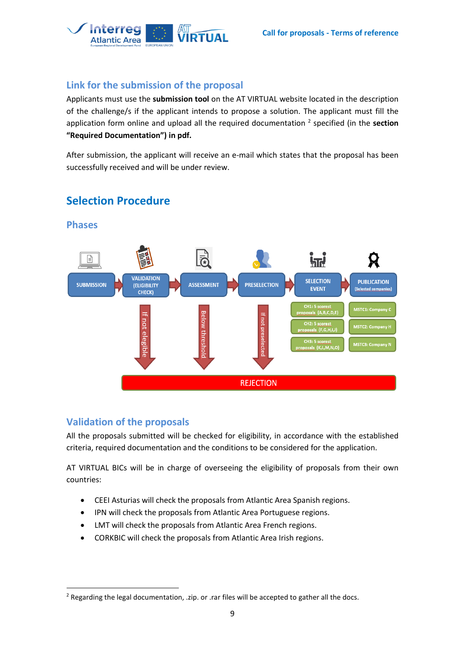

## <span id="page-8-0"></span>**Link for the submission of the proposal**

Applicants must use the **submission tool** on the AT VIRTUAL website located in the description of the challenge/s if the applicant intends to propose a solution. The applicant must fill the application form online and upload all the required documentation <sup>2</sup> specified (in the **section "Required Documentation") in pdf.**

After submission, the applicant will receive an e-mail which states that the proposal has been successfully received and will be under review.



# <span id="page-8-1"></span>**Selection Procedure**

#### <span id="page-8-2"></span>**Phases**

## <span id="page-8-3"></span>**Validation of the proposals**

All the proposals submitted will be checked for eligibility, in accordance with the established criteria, required documentation and the conditions to be considered for the application.

AT VIRTUAL BICs will be in charge of overseeing the eligibility of proposals from their own countries:

- CEEI Asturias will check the proposals from Atlantic Area Spanish regions.
- IPN will check the proposals from Atlantic Area Portuguese regions.
- LMT will check the proposals from Atlantic Area French regions.
- CORKBIC will check the proposals from Atlantic Area Irish regions.

<sup>&</sup>lt;sup>2</sup> Regarding the legal documentation, .zip. or .rar files will be accepted to gather all the docs.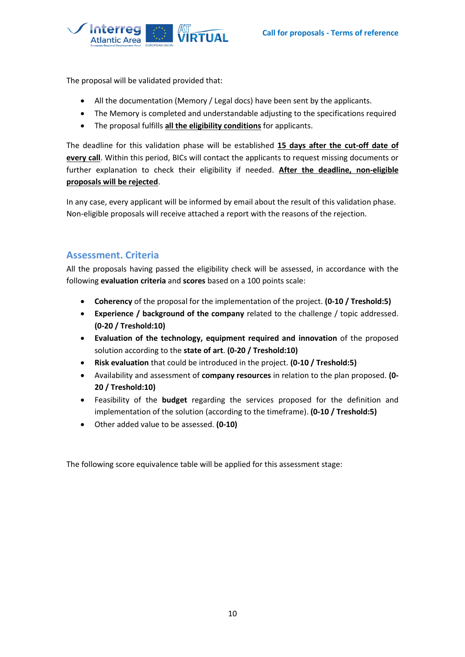

The proposal will be validated provided that:

- All the documentation (Memory / Legal docs) have been sent by the applicants.
- The Memory is completed and understandable adjusting to the specifications required
- The proposal fulfills **all the eligibility conditions** for applicants.

The deadline for this validation phase will be established **15 days after the cut-off date of every call**. Within this period, BICs will contact the applicants to request missing documents or further explanation to check their eligibility if needed. **After the deadline, non-eligible proposals will be rejected**.

In any case, every applicant will be informed by email about the result of this validation phase. Non-eligible proposals will receive attached a report with the reasons of the rejection.

## <span id="page-9-0"></span>**Assessment. Criteria**

All the proposals having passed the eligibility check will be assessed, in accordance with the following **evaluation criteria** and **scores** based on a 100 points scale:

- **Coherency** of the proposal for the implementation of the project. **(0-10 / Treshold:5)**
- **Experience / background of the company** related to the challenge / topic addressed. **(0-20 / Treshold:10)**
- **Evaluation of the technology, equipment required and innovation** of the proposed solution according to the **state of art**. **(0-20 / Treshold:10)**
- **Risk evaluation** that could be introduced in the project. **(0-10 / Treshold:5)**
- Availability and assessment of **company resources** in relation to the plan proposed. **(0- 20 / Treshold:10)**
- Feasibility of the **budget** regarding the services proposed for the definition and implementation of the solution (according to the timeframe). **(0-10 / Treshold:5)**
- Other added value to be assessed. **(0-10)**

The following score equivalence table will be applied for this assessment stage: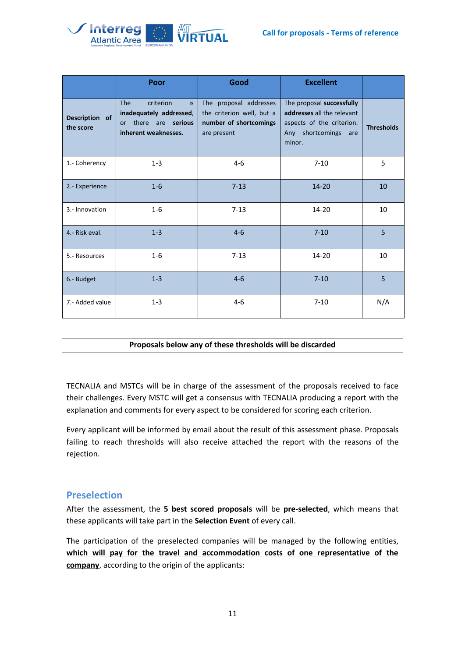

|                             | Poor                                                                                                      | Good                                                                                         | <b>Excellent</b>                                                                                                       |                   |
|-----------------------------|-----------------------------------------------------------------------------------------------------------|----------------------------------------------------------------------------------------------|------------------------------------------------------------------------------------------------------------------------|-------------------|
| Description of<br>the score | <b>The</b><br>criterion<br>is.<br>inadequately addressed,<br>or there are serious<br>inherent weaknesses. | The proposal addresses<br>the criterion well, but a<br>number of shortcomings<br>are present | The proposal successfully<br>addresses all the relevant<br>aspects of the criterion.<br>Any shortcomings are<br>minor. | <b>Thresholds</b> |
| 1.- Coherency               | $1 - 3$                                                                                                   | $4-6$                                                                                        | $7-10$                                                                                                                 | 5                 |
| 2.- Experience              | $1-6$                                                                                                     | $7 - 13$                                                                                     | $14 - 20$                                                                                                              | 10                |
| 3.- Innovation              | $1 - 6$                                                                                                   | $7-13$                                                                                       | 14-20                                                                                                                  | 10                |
| 4.- Risk eval.              | $1 - 3$                                                                                                   | $4-6$                                                                                        | $7 - 10$                                                                                                               | 5                 |
| 5.- Resources               | $1 - 6$                                                                                                   | $7-13$                                                                                       | $14 - 20$                                                                                                              | 10                |
| 6.- Budget                  | $1 - 3$                                                                                                   | $4 - 6$                                                                                      | $7 - 10$                                                                                                               | 5                 |
| 7.- Added value             | $1 - 3$                                                                                                   | $4-6$                                                                                        | $7-10$                                                                                                                 | N/A               |

#### **Proposals below any of these thresholds will be discarded**

TECNALIA and MSTCs will be in charge of the assessment of the proposals received to face their challenges. Every MSTC will get a consensus with TECNALIA producing a report with the explanation and comments for every aspect to be considered for scoring each criterion.

Every applicant will be informed by email about the result of this assessment phase. Proposals failing to reach thresholds will also receive attached the report with the reasons of the rejection.

## <span id="page-10-0"></span>**Preselection**

After the assessment, the **5 best scored proposals** will be **pre-selected**, which means that these applicants will take part in the **Selection Event** of every call.

The participation of the preselected companies will be managed by the following entities, **which will pay for the travel and accommodation costs of one representative of the company**, according to the origin of the applicants: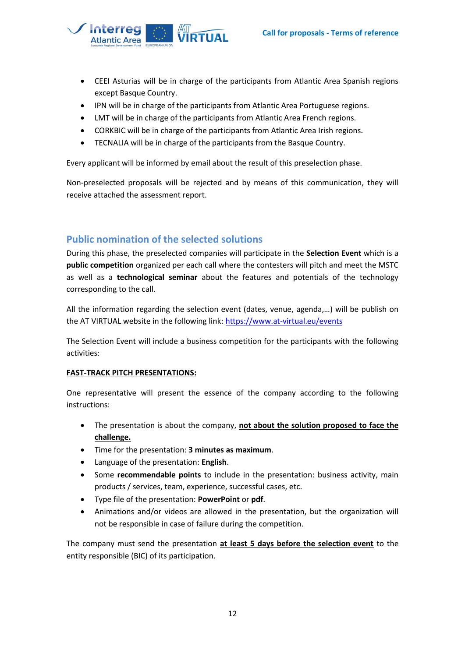

- CEEI Asturias will be in charge of the participants from Atlantic Area Spanish regions except Basque Country.
- IPN will be in charge of the participants from Atlantic Area Portuguese regions.
- LMT will be in charge of the participants from Atlantic Area French regions.
- CORKBIC will be in charge of the participants from Atlantic Area Irish regions.
- TECNALIA will be in charge of the participants from the Basque Country.

Every applicant will be informed by email about the result of this preselection phase.

Non-preselected proposals will be rejected and by means of this communication, they will receive attached the assessment report.

## <span id="page-11-0"></span>**Public nomination of the selected solutions**

During this phase, the preselected companies will participate in the **Selection Event** which is a **public competition** organized per each call where the contesters will pitch and meet the MSTC as well as a **technological seminar** about the features and potentials of the technology corresponding to the call.

All the information regarding the selection event (dates, venue, agenda,…) will be publish on the AT VIRTUAL website in the following link[: https://www.at-virtual.eu/events](https://www.at-virtual.eu/events)

The Selection Event will include a business competition for the participants with the following activities:

#### **FAST-TRACK PITCH PRESENTATIONS:**

One representative will present the essence of the company according to the following instructions:

- The presentation is about the company, **not about the solution proposed to face the challenge.**
- Time for the presentation: **3 minutes as maximum**.
- Language of the presentation: **English**.
- Some **recommendable points** to include in the presentation: business activity, main products / services, team, experience, successful cases, etc.
- Type file of the presentation: **PowerPoint** or **pdf**.
- Animations and/or videos are allowed in the presentation, but the organization will not be responsible in case of failure during the competition.

The company must send the presentation **at least 5 days before the selection event** to the entity responsible (BIC) of its participation.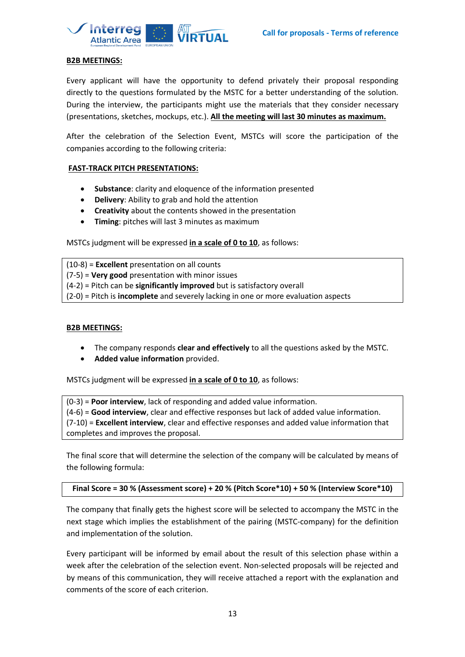

#### **B2B MEETINGS:**

Every applicant will have the opportunity to defend privately their proposal responding directly to the questions formulated by the MSTC for a better understanding of the solution. During the interview, the participants might use the materials that they consider necessary (presentations, sketches, mockups, etc.). **All the meeting will last 30 minutes as maximum.**

After the celebration of the Selection Event, MSTCs will score the participation of the companies according to the following criteria:

#### **FAST-TRACK PITCH PRESENTATIONS:**

- **Substance**: clarity and eloquence of the information presented
- **Delivery**: Ability to grab and hold the attention
- **Creativity** about the contents showed in the presentation
- **Timing**: pitches will last 3 minutes as maximum

MSTCs judgment will be expressed **in a scale of 0 to 10**, as follows:

(10-8) = **Excellent** presentation on all counts (7-5) = **Very good** presentation with minor issues (4-2) = Pitch can be **significantly improved** but is satisfactory overall (2-0) = Pitch is **incomplete** and severely lacking in one or more evaluation aspects

#### **B2B MEETINGS:**

- The company responds **clear and effectively** to all the questions asked by the MSTC.
- **Added value information** provided.

MSTCs judgment will be expressed **in a scale of 0 to 10**, as follows:

(0-3) = **Poor interview**, lack of responding and added value information. (4-6) = **Good interview**, clear and effective responses but lack of added value information. (7-10) = **Excellent interview**, clear and effective responses and added value information that completes and improves the proposal.

The final score that will determine the selection of the company will be calculated by means of the following formula:

**Final Score = 30 % (Assessment score) + 20 % (Pitch Score\*10) + 50 % (Interview Score\*10)**

The company that finally gets the highest score will be selected to accompany the MSTC in the next stage which implies the establishment of the pairing (MSTC-company) for the definition and implementation of the solution.

Every participant will be informed by email about the result of this selection phase within a week after the celebration of the selection event. Non-selected proposals will be rejected and by means of this communication, they will receive attached a report with the explanation and comments of the score of each criterion.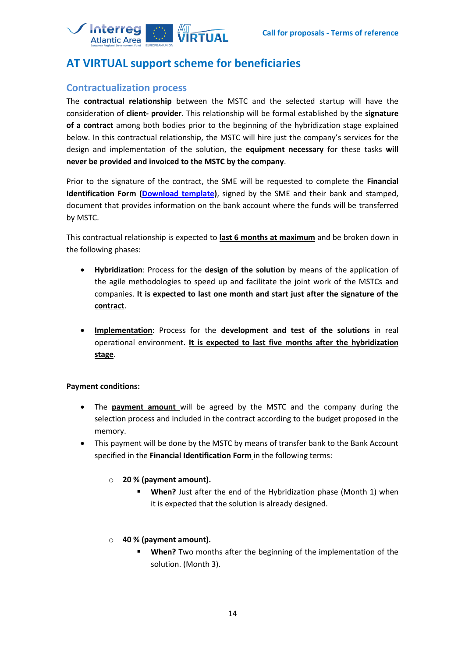

# <span id="page-13-0"></span>**AT VIRTUAL support scheme for beneficiaries**

## <span id="page-13-1"></span>**Contractualization process**

The **contractual relationship** between the MSTC and the selected startup will have the consideration of **client- provider**. This relationship will be formal established by the **signature of a contract** among both bodies prior to the beginning of the hybridization stage explained below. In this contractual relationship, the MSTC will hire just the company's services for the design and implementation of the solution, the **equipment necessary** for these tasks **will never be provided and invoiced to the MSTC by the company**.

Prior to the signature of the contract, the SME will be requested to complete the **Financial Identification Form [\(Download template\)](https://ec.europa.eu/info/sites/info/files/about_the_european_commission/eu_budget/fich_sign_ba_gb_en_0.pdf)**, signed by the SME and their bank and stamped, document that provides information on the bank account where the funds will be transferred by MSTC.

This contractual relationship is expected to **last 6 months at maximum** and be broken down in the following phases:

- **Hybridization**: Process for the **design of the solution** by means of the application of the agile methodologies to speed up and facilitate the joint work of the MSTCs and companies. **It is expected to last one month and start just after the signature of the contract**.
- **Implementation**: Process for the **development and test of the solutions** in real operational environment. **It is expected to last five months after the hybridization stage**.

#### **Payment conditions:**

- The **payment amount** will be agreed by the MSTC and the company during the selection process and included in the contract according to the budget proposed in the memory.
- This payment will be done by the MSTC by means of transfer bank to the Bank Account specified in the **Financial Identification Form** in the following terms:

#### o **20 % (payment amount).**

- **When?** Just after the end of the Hybridization phase (Month 1) when it is expected that the solution is already designed.
- o **40 % (payment amount).** 
	- **When?** Two months after the beginning of the implementation of the solution. (Month 3).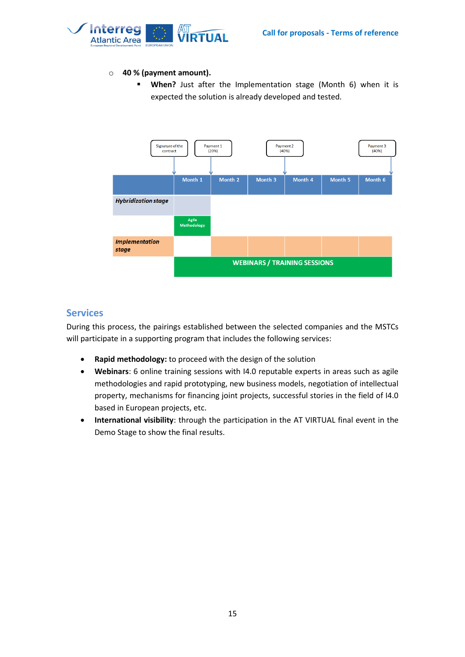

#### o **40 % (payment amount).**

▪ **When?** Just after the Implementation stage (Month 6) when it is expected the solution is already developed and tested.



## <span id="page-14-0"></span>**Services**

During this process, the pairings established between the selected companies and the MSTCs will participate in a supporting program that includes the following services:

- **Rapid methodology:** to proceed with the design of the solution
- **Webinars**: 6 online training sessions with I4.0 reputable experts in areas such as agile methodologies and rapid prototyping, new business models, negotiation of intellectual property, mechanisms for financing joint projects, successful stories in the field of I4.0 based in European projects, etc.
- **International visibility**: through the participation in the AT VIRTUAL final event in the Demo Stage to show the final results.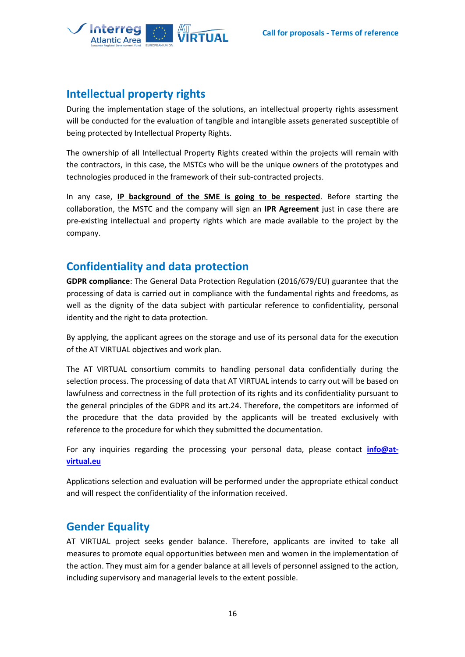

# <span id="page-15-0"></span>**Intellectual property rights**

During the implementation stage of the solutions, an intellectual property rights assessment will be conducted for the evaluation of tangible and intangible assets generated susceptible of being protected by Intellectual Property Rights.

The ownership of all Intellectual Property Rights created within the projects will remain with the contractors, in this case, the MSTCs who will be the unique owners of the prototypes and technologies produced in the framework of their sub-contracted projects.

In any case, **IP background of the SME is going to be respected**. Before starting the collaboration, the MSTC and the company will sign an **IPR Agreement** just in case there are pre-existing intellectual and property rights which are made available to the project by the company.

# <span id="page-15-1"></span>**Confidentiality and data protection**

**GDPR compliance**: The General Data Protection Regulation (2016/679/EU) guarantee that the processing of data is carried out in compliance with the fundamental rights and freedoms, as well as the dignity of the data subject with particular reference to confidentiality, personal identity and the right to data protection.

Βy applying, the applicant agrees on the storage and use of its personal data for the execution of the AT VIRTUAL objectives and work plan.

The AT VIRTUAL consortium commits to handling personal data confidentially during the selection process. The processing of data that AT VIRTUAL intends to carry out will be based on lawfulness and correctness in the full protection of its rights and its confidentiality pursuant to the general principles of the GDPR and its art.24. Therefore, the competitors are informed of the procedure that the data provided by the applicants will be treated exclusively with reference to the procedure for which they submitted the documentation.

For any inquiries regarding the processing your personal data, please contact **[info@at](mailto:info@at-virtual.eu)[virtual.eu](mailto:info@at-virtual.eu)**

<span id="page-15-2"></span>Applications selection and evaluation will be performed under the appropriate ethical conduct and will respect the confidentiality of the information received.

# **Gender Equality**

AT VIRTUAL project seeks gender balance. Therefore, applicants are invited to take all measures to promote equal opportunities between men and women in the implementation of the action. They must aim for a gender balance at all levels of personnel assigned to the action, including supervisory and managerial levels to the extent possible.